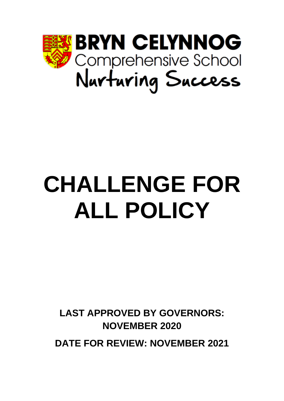

# **CHALLENGE FOR ALL POLICY**

**LAST APPROVED BY GOVERNORS: NOVEMBER 2020**

**DATE FOR REVIEW: NOVEMBER 2021**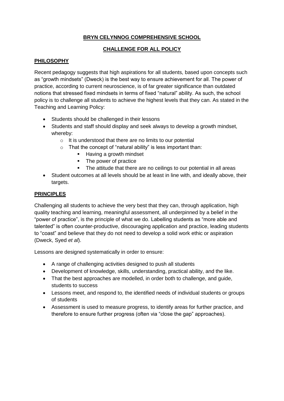# **BRYN CELYNNOG COMPREHENSIVE SCHOOL**

## **CHALLENGE FOR ALL POLICY**

## **PHILOSOPHY**

Recent pedagogy suggests that high aspirations for all students, based upon concepts such as "growth mindsets" (Dweck) is the best way to ensure achievement for all. The power of practice, according to current neuroscience, is of far greater significance than outdated notions that stressed fixed mindsets in terms of fixed "natural" ability. As such, the school policy is to challenge all students to achieve the highest levels that they can. As stated in the Teaching and Learning Policy:

- Students should be challenged in their lessons
- Students and staff should display and seek always to develop a growth mindset, whereby:
	- $\circ$  It is understood that there are no limits to our potential
	- $\circ$  That the concept of "natural ability" is less important than:
		- Having a growth mindset
		- The power of practice
		- The attitude that there are no ceilings to our potential in all areas
- Student outcomes at all levels should be at least in line with, and ideally above, their targets.

#### **PRINCIPLES**

Challenging all students to achieve the very best that they can, through application, high quality teaching and learning, meaningful assessment, all underpinned by a belief in the "power of practice", is the principle of what we do. Labelling students as "more able and talented" is often counter-productive, discouraging application and practice, leading students to "coast" and believe that they do not need to develop a solid work ethic or aspiration (Dweck, Syed *et al*).

Lessons are designed systematically in order to ensure:

- A range of challenging activities designed to push all students
- Development of knowledge, skills, understanding, practical ability, and the like.
- That the best approaches are modelled, in order both to challenge, and guide, students to success
- Lessons meet, and respond to, the identified needs of individual students or groups of students
- Assessment is used to measure progress, to identify areas for further practice, and therefore to ensure further progress (often via "close the gap" approaches).